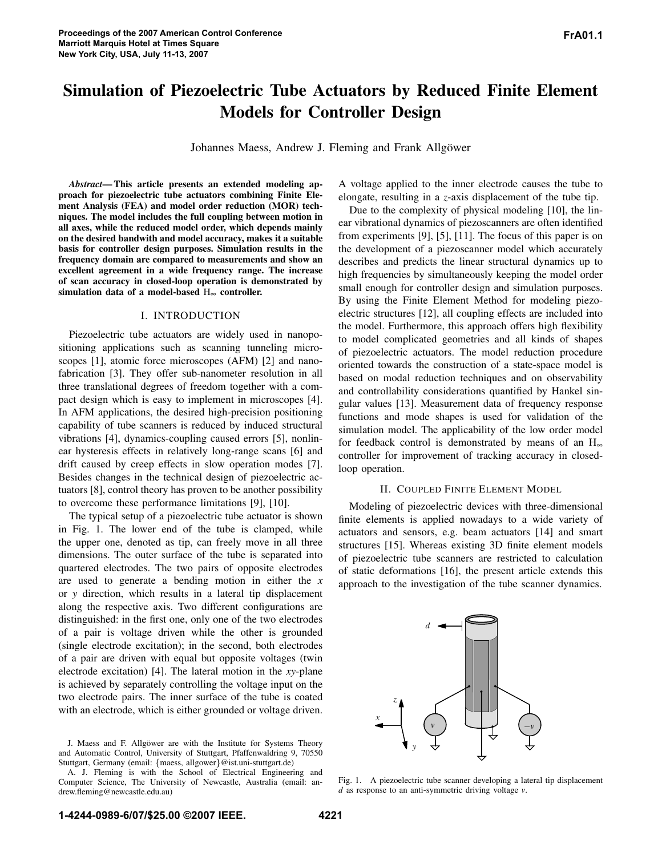# **Simulation of Piezoelectric Tube Actuators by Reduced Finite Element Models for Controller Design**

Johannes Maess, Andrew J. Fleming and Frank Allgöwer

*Abstract***—This article presents an extended modeling approach for piezoelectric tube actuators combining Finite Element Analysis (FEA) and model order reduction (MOR) techniques. The model includes the full coupling between motion in all axes, while the reduced model order, which depends mainly on the desired bandwith and model accuracy, makes it a suitable basis for controller design purposes. Simulation results in the frequency domain are compared to measurements and show an excellent agreement in a wide frequency range. The increase of scan accuracy in closed-loop operation is demonstrated by simulation data of a model-based** H∞ **controller.**

# I. INTRODUCTION

Piezoelectric tube actuators are widely used in nanopositioning applications such as scanning tunneling microscopes [1], atomic force microscopes (AFM) [2] and nanofabrication [3]. They offer sub-nanometer resolution in all three translational degrees of freedom together with a compact design which is easy to implement in microscopes [4]. In AFM applications, the desired high-precision positioning capability of tube scanners is reduced by induced structural vibrations [4], dynamics-coupling caused errors [5], nonlinear hysteresis effects in relatively long-range scans [6] and drift caused by creep effects in slow operation modes [7]. Besides changes in the technical design of piezoelectric actuators [8], control theory has proven to be another possibility to overcome these performance limitations [9], [10].

The typical setup of a piezoelectric tube actuator is shown in Fig. 1. The lower end of the tube is clamped, while the upper one, denoted as tip, can freely move in all three dimensions. The outer surface of the tube is separated into quartered electrodes. The two pairs of opposite electrodes are used to generate a bending motion in either the *x* or *y* direction, which results in a lateral tip displacement along the respective axis. Two different configurations are distinguished: in the first one, only one of the two electrodes of a pair is voltage driven while the other is grounded (single electrode excitation); in the second, both electrodes of a pair are driven with equal but opposite voltages (twin electrode excitation) [4]. The lateral motion in the *xy*-plane is achieved by separately controlling the voltage input on the two electrode pairs. The inner surface of the tube is coated with an electrode, which is either grounded or voltage driven. A voltage applied to the inner electrode causes the tube to elongate, resulting in a *z*-axis displacement of the tube tip.

Due to the complexity of physical modeling [10], the linear vibrational dynamics of piezoscanners are often identified from experiments [9], [5], [11]. The focus of this paper is on the development of a piezoscanner model which accurately describes and predicts the linear structural dynamics up to high frequencies by simultaneously keeping the model order small enough for controller design and simulation purposes. By using the Finite Element Method for modeling piezoelectric structures [12], all coupling effects are included into the model. Furthermore, this approach offers high flexibility to model complicated geometries and all kinds of shapes of piezoelectric actuators. The model reduction procedure oriented towards the construction of a state-space model is based on modal reduction techniques and on observability and controllability considerations quantified by Hankel singular values [13]. Measurement data of frequency response functions and mode shapes is used for validation of the simulation model. The applicability of the low order model for feedback control is demonstrated by means of an  $H_{\infty}$ controller for improvement of tracking accuracy in closedloop operation.

## II. COUPLED FINITE ELEMENT MODEL

Modeling of piezoelectric devices with three-dimensional finite elements is applied nowadays to a wide variety of actuators and sensors, e.g. beam actuators [14] and smart structures [15]. Whereas existing 3D finite element models of piezoelectric tube scanners are restricted to calculation of static deformations [16], the present article extends this approach to the investigation of the tube scanner dynamics.



Fig. 1. A piezoelectric tube scanner developing a lateral tip displacement *d* as response to an anti-symmetric driving voltage *v*.

J. Maess and F. Allgöwer are with the Institute for Systems Theory and Automatic Control, University of Stuttgart, Pfaffenwaldring 9, 70550 Stuttgart, Germany (email: {maess, allgower}@ist.uni-stuttgart.de)

A. J. Fleming is with the School of Electrical Engineering and Computer Science, The University of Newcastle, Australia (email: andrew.fleming@newcastle.edu.au)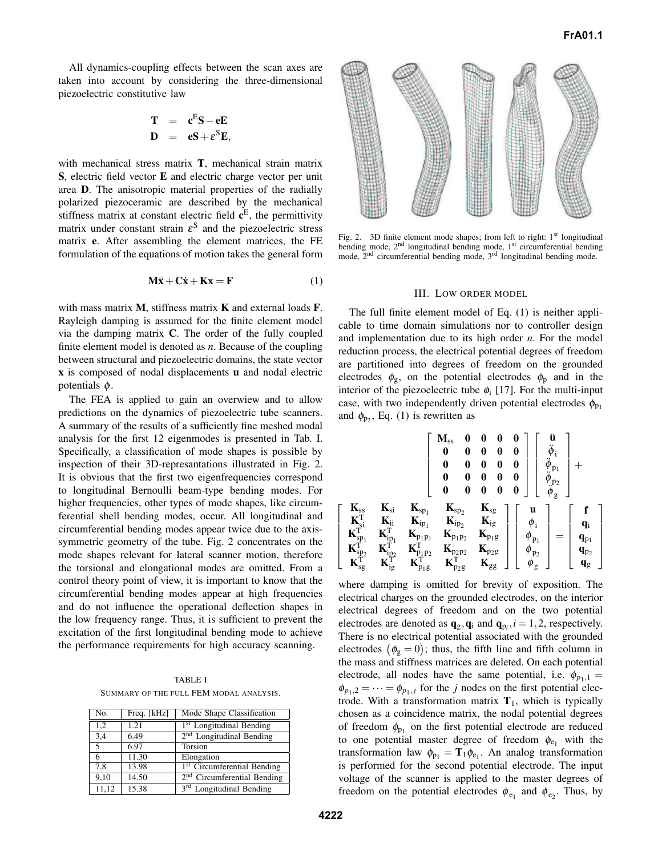All dynamics-coupling effects between the scan axes are taken into account by considering the three-dimensional piezoelectric constitutive law

$$
T = cES - eE
$$
  

$$
D = eS + \varepsilonSE,
$$

with mechanical stress matrix **T**, mechanical strain matrix **S**, electric field vector **E** and electric charge vector per unit area **D**. The anisotropic material properties of the radially polarized piezoceramic are described by the mechanical stiffness matrix at constant electric field **c** E , the permittivity matrix under constant strain  $\varepsilon^S$  and the piezoelectric stress matrix **e**. After assembling the element matrices, the FE formulation of the equations of motion takes the general form

$$
\mathbf{M}\ddot{\mathbf{x}} + \mathbf{C}\dot{\mathbf{x}} + \mathbf{K}\mathbf{x} = \mathbf{F} \tag{1}
$$

with mass matrix **M**, stiffness matrix **K** and external loads **F**. Rayleigh damping is assumed for the finite element model via the damping matrix **C**. The order of the fully coupled finite element model is denoted as *n*. Because of the coupling between structural and piezoelectric domains, the state vector **x** is composed of nodal displacements **u** and nodal electric potentials  $\phi$ .

The FEA is applied to gain an overwiew and to allow predictions on the dynamics of piezoelectric tube scanners. A summary of the results of a sufficiently fine meshed modal analysis for the first 12 eigenmodes is presented in Tab. I. Specifically, a classification of mode shapes is possible by inspection of their 3D-represantations illustrated in Fig. 2. It is obvious that the first two eigenfrequencies correspond to longitudinal Bernoulli beam-type bending modes. For higher frequencies, other types of mode shapes, like circumferential shell bending modes, occur. All longitudinal and circumferential bending modes appear twice due to the axissymmetric geometry of the tube. Fig. 2 concentrates on the mode shapes relevant for lateral scanner motion, therefore the torsional and elongational modes are omitted. From a control theory point of view, it is important to know that the circumferential bending modes appear at high frequencies and do not influence the operational deflection shapes in the low frequency range. Thus, it is sufficient to prevent the excitation of the first longitudinal bending mode to achieve the performance requirements for high accuracy scanning.

TABLE I SUMMARY OF THE FULL FEM MODAL ANALYSIS.

| No.   | Freq. [kHz] | Mode Shape Classification               |
|-------|-------------|-----------------------------------------|
| 1,2   | 1.21        | <sup>1st</sup> Longitudinal Bending     |
| 3,4   | 6.49        | 2 <sup>nd</sup> Longitudinal Bending    |
| 5     | 6.97        | Torsion                                 |
| 6     | 11.30       | Elongation                              |
| 7,8   | 13.98       | <sup>1st</sup> Circumferential Bending  |
| 9.10  | 14.50       | 2 <sup>nd</sup> Circumferential Bending |
| 11,12 | 15.38       | 3 <sup>rd</sup> Longitudinal Bending    |



Fig. 2. 3D finite element mode shapes; from left to right: 1<sup>st</sup> longitudinal bending mode, 2<sup>nd</sup> longitudinal bending mode, 1<sup>st</sup> circumferential bending mode, 2<sup>nd</sup> circumferential bending mode, 3<sup>rd</sup> longitudinal bending mode.

#### III. LOW ORDER MODEL

The full finite element model of Eq. (1) is neither applicable to time domain simulations nor to controller design and implementation due to its high order *n*. For the model reduction process, the electrical potential degrees of freedom are partitioned into degrees of freedom on the grounded electrodes  $\phi_{g}$ , on the potential electrodes  $\phi_{p}$  and in the interior of the piezoelectric tube  $\phi_i$  [17]. For the multi-input case, with two independently driven potential electrodes  $\phi_{p_1}$ and  $\phi_{p_2}$ , Eq. (1) is rewritten as

$$
\left[\begin{array}{cc|cc} & M_{ss} & 0 & 0 & 0 & 0 \\ \hline 0 & 0 & 0 & 0 & 0 & 0 \\ 0 & 0 & 0 & 0 & 0 & 0 \\ 0 & 0 & 0 & 0 & 0 & 0 \\ 0 & 0 & 0 & 0 & 0 & 0 \\ 0 & 0 & 0 & 0 & 0 & 0 \end{array}\right]\left[\begin{array}{c}\ddot{u} \\ \ddot{\phi}_i \\ \ddot{\phi}_{p_1} \\ \ddot{\phi}_{p_2} \\ \hline \dot{\phi}_{p_2} \\ \hline \dot{\phi}_{g} \end{array}\right]+
$$

where damping is omitted for brevity of exposition. The electrical charges on the grounded electrodes, on the interior electrical degrees of freedom and on the two potential electrodes are denoted as  $\mathbf{q}_g$ ,  $\mathbf{q}_i$  and  $\mathbf{q}_{p_i}$ ,  $i = 1, 2$ , respectively. There is no electrical potential associated with the grounded electrodes  $(\phi_{g}=0)$ ; thus, the fifth line and fifth column in the mass and stiffness matrices are deleted. On each potential electrode, all nodes have the same potential, i.e.  $\phi_{p_1,1} =$  $\phi_{p_1,2} = \cdots = \phi_{p_1,j}$  for the *j* nodes on the first potential electrode. With a transformation matrix  $T_1$ , which is typically chosen as a coincidence matrix, the nodal potential degrees of freedom  $\phi_{p_1}$  on the first potential electrode are reduced to one potential master degree of freedom  $\phi_{e_1}$  with the transformation law  $\phi_{p_1} = T_1 \phi_{e_1}$ . An analog transformation is performed for the second potential electrode. The input voltage of the scanner is applied to the master degrees of freedom on the potential electrodes  $\phi_{e_1}$  and  $\phi_{e_2}$ . Thus, by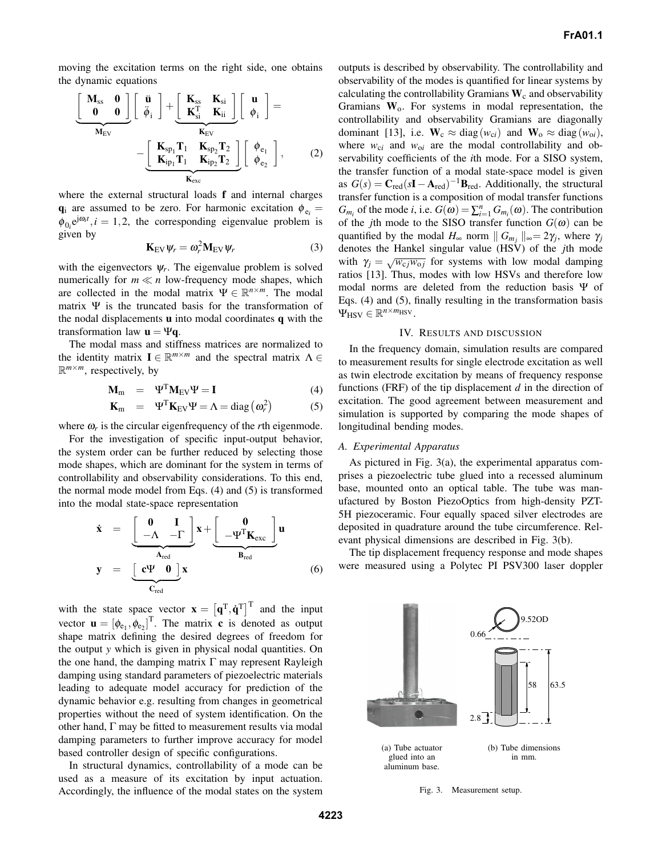moving the excitation terms on the right side, one obtains the dynamic equations

$$
\left[\begin{array}{c}\mathbf{M}_{ss} & \mathbf{0} \\ \mathbf{0} & \mathbf{0}\end{array}\right] \left[\begin{array}{c}\n\ddot{\mathbf{u}} \\
\ddot{\phi}_{i}\end{array}\right] + \left[\begin{array}{c}\n\mathbf{K}_{ss} & \mathbf{K}_{si} \\
\mathbf{K}_{si}^{T} & \mathbf{K}_{ii}\end{array}\right] \left[\begin{array}{c}\n\mathbf{u} \\
\phi_{i}\end{array}\right] = \left[\begin{array}{c}\n\mathbf{M}_{EV} \\
\mathbf{K}_{EV} \\
\mathbf{K}_{i\mathbf{p}_{1}}\mathbf{T}_{1} & \mathbf{K}_{s\mathbf{p}_{2}}\mathbf{T}_{2} \\
\mathbf{K}_{i\mathbf{p}_{1}}\mathbf{T}_{1} & \mathbf{K}_{i\mathbf{p}_{2}}\mathbf{T}_{2}\end{array}\right] \left[\begin{array}{c}\n\phi_{e_{1}} \\
\phi_{e_{2}}\end{array}\right],
$$
\n(2)

where the external structural loads **f** and internal charges  $\mathbf{q}_i$  are assumed to be zero. For harmonic excitation  $\phi_{e_i} =$  $\phi_{0_i} e^{j\omega_i t}$ , *i* = 1,2, the corresponding eigenvalue problem is given by

$$
\mathbf{K}_{\rm EV} \psi_r = \omega_r^2 \mathbf{M}_{\rm EV} \psi_r \tag{3}
$$

with the eigenvectors  $\psi_r$ . The eigenvalue problem is solved numerically for  $m \ll n$  low-frequency mode shapes, which are collected in the modal matrix  $\Psi \in \mathbb{R}^{n \times m}$ . The modal matrix  $\Psi$  is the truncated basis for the transformation of the nodal displacements **u** into modal coordinates **q** with the transformation law  $\mathbf{u} = \Psi \mathbf{q}$ .

The modal mass and stiffness matrices are normalized to the identity matrix  $I \in \mathbb{R}^{m \times m}$  and the spectral matrix  $\Lambda \in$  $\mathbb{R}^{m \times m}$ , respectively, by

$$
\mathbf{M}_{\rm m} = \Psi^{\rm T} \mathbf{M}_{\rm EV} \Psi = \mathbf{I} \tag{4}
$$

$$
\mathbf{K}_{\rm m} = \Psi^{\rm T} \mathbf{K}_{\rm EV} \Psi = \Lambda = \text{diag} \left( \omega_r^2 \right) \tag{5}
$$

where  $\omega_r$  is the circular eigenfrequency of the *r*th eigenmode.

For the investigation of specific input-output behavior, the system order can be further reduced by selecting those mode shapes, which are dominant for the system in terms of controllability and observability considerations. To this end, the normal mode model from Eqs. (4) and (5) is transformed into the modal state-space representation

$$
\dot{\mathbf{x}} = \underbrace{\begin{bmatrix} \mathbf{0} & \mathbf{I} \\ -\Lambda & -\Gamma \end{bmatrix}}_{\mathbf{A}_{\text{red}}} \mathbf{x} + \underbrace{\begin{bmatrix} \mathbf{0} \\ -\Psi^T \mathbf{K}_{\text{exc}} \end{bmatrix}}_{\mathbf{B}_{\text{red}}} \mathbf{u}
$$
\n
$$
\mathbf{y} = \underbrace{\begin{bmatrix} \mathbf{c}\Psi & \mathbf{0} \end{bmatrix} \mathbf{x}}_{\mathbf{C}_{\text{red}}} \tag{6}
$$

with the state space vector  $\mathbf{x} = [\mathbf{q}^T, \dot{\mathbf{q}}^T]^T$  and the input vector  $\mathbf{u} = [\phi_{e_1}, \phi_{e_2}]^T$ . The matrix **c** is denoted as output shape matrix defining the desired degrees of freedom for the output *y* which is given in physical nodal quantities. On the one hand, the damping matrix  $\Gamma$  may represent Rayleigh damping using standard parameters of piezoelectric materials leading to adequate model accuracy for prediction of the dynamic behavior e.g. resulting from changes in geometrical properties without the need of system identification. On the other hand, Γ may be fitted to measurement results via modal damping parameters to further improve accuracy for model based controller design of specific configurations.

In structural dynamics, controllability of a mode can be used as a measure of its excitation by input actuation. Accordingly, the influence of the modal states on the system outputs is described by observability. The controllability and observability of the modes is quantified for linear systems by calculating the controllability Gramians  $W_c$  and observability Gramians **W**o. For systems in modal representation, the controllability and observability Gramians are diagonally dominant [13], i.e.  $\mathbf{W}_c \approx \text{diag}(w_{ci})$  and  $\mathbf{W}_o \approx \text{diag}(w_{oi})$ , where  $w_{ci}$  and  $w_{oi}$  are the modal controllability and observability coefficients of the *i*th mode. For a SISO system, the transfer function of a modal state-space model is given as  $G(s) = \mathbf{C}_{\text{red}}(s\mathbf{I} - \mathbf{A}_{\text{red}})^{-1}\mathbf{B}_{\text{red}}$ . Additionally, the structural transfer function is a composition of modal transfer functions *G*<sub>*m<sub>i</sub>*</sub> of the mode *i*, i.e.  $G(\omega) = \sum_{i=1}^{n} G_{m_i}(\omega)$ . The contribution of the *j*th mode to the SISO transfer function  $G(\omega)$  can be quantified by the modal  $H_{\infty}$  norm  $||G_{m_j}||_{\infty} = 2\gamma_j$ , where  $\gamma_j$ denotes the Hankel singular value (HSV) of the *j*th mode with  $\gamma_j = \sqrt{w_{cj} w_{oj}}$  for systems with low modal damping ratios [13]. Thus, modes with low HSVs and therefore low modal norms are deleted from the reduction basis Ψ of Eqs. (4) and (5), finally resulting in the transformation basis  $\Psi_{\text{HSV}} \in \mathbb{R}^{n \times m_{\text{HSV}}}$ .

### IV. RESULTS AND DISCUSSION

In the frequency domain, simulation results are compared to measurement results for single electrode excitation as well as twin electrode excitation by means of frequency response functions (FRF) of the tip displacement *d* in the direction of excitation. The good agreement between measurement and simulation is supported by comparing the mode shapes of longitudinal bending modes.

# *A. Experimental Apparatus*

As pictured in Fig. 3(a), the experimental apparatus comprises a piezoelectric tube glued into a recessed aluminum base, mounted onto an optical table. The tube was manufactured by Boston PiezoOptics from high-density PZT-5H piezoceramic. Four equally spaced silver electrodes are deposited in quadrature around the tube circumference. Relevant physical dimensions are described in Fig. 3(b).

The tip displacement frequency response and mode shapes were measured using a Polytec PI PSV300 laser doppler



Fig. 3. Measurement setup.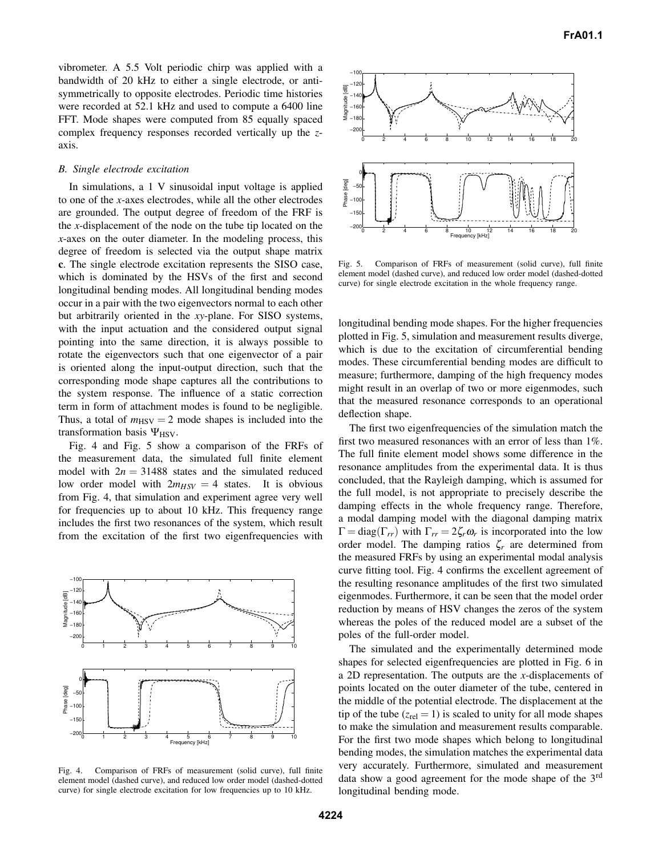vibrometer. A 5.5 Volt periodic chirp was applied with a bandwidth of 20 kHz to either a single electrode, or antisymmetrically to opposite electrodes. Periodic time histories were recorded at 52.1 kHz and used to compute a 6400 line FFT. Mode shapes were computed from 85 equally spaced complex frequency responses recorded vertically up the *z*axis.

## *B. Single electrode excitation*

In simulations, a 1 V sinusoidal input voltage is applied to one of the *x*-axes electrodes, while all the other electrodes are grounded. The output degree of freedom of the FRF is the *x*-displacement of the node on the tube tip located on the *x*-axes on the outer diameter. In the modeling process, this degree of freedom is selected via the output shape matrix **c**. The single electrode excitation represents the SISO case, which is dominated by the HSVs of the first and second longitudinal bending modes. All longitudinal bending modes occur in a pair with the two eigenvectors normal to each other but arbitrarily oriented in the *xy*-plane. For SISO systems, with the input actuation and the considered output signal pointing into the same direction, it is always possible to rotate the eigenvectors such that one eigenvector of a pair is oriented along the input-output direction, such that the corresponding mode shape captures all the contributions to the system response. The influence of a static correction term in form of attachment modes is found to be negligible. Thus, a total of  $m_{\text{HSV}} = 2$  mode shapes is included into the transformation basis  $\Psi$ <sub>HSV</sub>.

Fig. 4 and Fig. 5 show a comparison of the FRFs of the measurement data, the simulated full finite element model with  $2n = 31488$  states and the simulated reduced low order model with  $2m_{HSV} = 4$  states. It is obvious from Fig. 4, that simulation and experiment agree very well for frequencies up to about 10 kHz. This frequency range includes the first two resonances of the system, which result from the excitation of the first two eigenfrequencies with



Fig. 4. Comparison of FRFs of measurement (solid curve), full finite element model (dashed curve), and reduced low order model (dashed-dotted curve) for single electrode excitation for low frequencies up to 10 kHz.



Fig. 5. Comparison of FRFs of measurement (solid curve), full finite element model (dashed curve), and reduced low order model (dashed-dotted curve) for single electrode excitation in the whole frequency range.

longitudinal bending mode shapes. For the higher frequencies plotted in Fig. 5, simulation and measurement results diverge, which is due to the excitation of circumferential bending modes. These circumferential bending modes are difficult to measure; furthermore, damping of the high frequency modes might result in an overlap of two or more eigenmodes, such that the measured resonance corresponds to an operational deflection shape.

The first two eigenfrequencies of the simulation match the first two measured resonances with an error of less than 1%. The full finite element model shows some difference in the resonance amplitudes from the experimental data. It is thus concluded, that the Rayleigh damping, which is assumed for the full model, is not appropriate to precisely describe the damping effects in the whole frequency range. Therefore, a modal damping model with the diagonal damping matrix  $\Gamma = \text{diag}(\Gamma_{rr})$  with  $\Gamma_{rr} = 2\zeta_r \omega_r$  is incorporated into the low order model. The damping ratios  $\zeta_r$  are determined from the measured FRFs by using an experimental modal analysis curve fitting tool. Fig. 4 confirms the excellent agreement of the resulting resonance amplitudes of the first two simulated eigenmodes. Furthermore, it can be seen that the model order reduction by means of HSV changes the zeros of the system whereas the poles of the reduced model are a subset of the poles of the full-order model.

The simulated and the experimentally determined mode shapes for selected eigenfrequencies are plotted in Fig. 6 in a 2D representation. The outputs are the *x*-displacements of points located on the outer diameter of the tube, centered in the middle of the potential electrode. The displacement at the tip of the tube  $(z_{rel} = 1)$  is scaled to unity for all mode shapes to make the simulation and measurement results comparable. For the first two mode shapes which belong to longitudinal bending modes, the simulation matches the experimental data very accurately. Furthermore, simulated and measurement data show a good agreement for the mode shape of the 3<sup>rd</sup> longitudinal bending mode.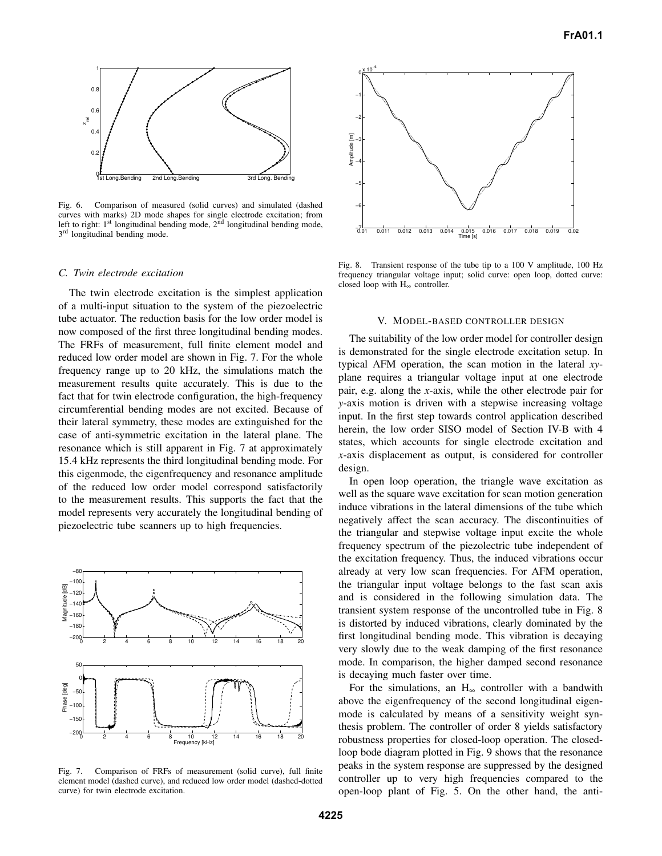

Fig. 6. Comparison of measured (solid curves) and simulated (dashed curves with marks) 2D mode shapes for single electrode excitation; from left to right:  $1<sup>st</sup>$  longitudinal bending mode,  $2<sup>nd</sup>$  longitudinal bending mode, 3<sup>rd</sup> longitudinal bending mode.

## *C. Twin electrode excitation*

The twin electrode excitation is the simplest application of a multi-input situation to the system of the piezoelectric tube actuator. The reduction basis for the low order model is now composed of the first three longitudinal bending modes. The FRFs of measurement, full finite element model and reduced low order model are shown in Fig. 7. For the whole frequency range up to 20 kHz, the simulations match the measurement results quite accurately. This is due to the fact that for twin electrode configuration, the high-frequency circumferential bending modes are not excited. Because of their lateral symmetry, these modes are extinguished for the case of anti-symmetric excitation in the lateral plane. The resonance which is still apparent in Fig. 7 at approximately 15.4 kHz represents the third longitudinal bending mode. For this eigenmode, the eigenfrequency and resonance amplitude of the reduced low order model correspond satisfactorily to the measurement results. This supports the fact that the model represents very accurately the longitudinal bending of piezoelectric tube scanners up to high frequencies.



Fig. 7. Comparison of FRFs of measurement (solid curve), full finite element model (dashed curve), and reduced low order model (dashed-dotted curve) for twin electrode excitation.



Fig. 8. Transient response of the tube tip to a 100 V amplitude, 100 Hz frequency triangular voltage input; solid curve: open loop, dotted curve: closed loop with H<sup>∞</sup> controller.

#### V. MODEL-BASED CONTROLLER DESIGN

The suitability of the low order model for controller design is demonstrated for the single electrode excitation setup. In typical AFM operation, the scan motion in the lateral *xy*plane requires a triangular voltage input at one electrode pair, e.g. along the *x*-axis, while the other electrode pair for *y*-axis motion is driven with a stepwise increasing voltage input. In the first step towards control application described herein, the low order SISO model of Section IV-B with 4 states, which accounts for single electrode excitation and *x*-axis displacement as output, is considered for controller design.

In open loop operation, the triangle wave excitation as well as the square wave excitation for scan motion generation induce vibrations in the lateral dimensions of the tube which negatively affect the scan accuracy. The discontinuities of the triangular and stepwise voltage input excite the whole frequency spectrum of the piezolectric tube independent of the excitation frequency. Thus, the induced vibrations occur already at very low scan frequencies. For AFM operation, the triangular input voltage belongs to the fast scan axis and is considered in the following simulation data. The transient system response of the uncontrolled tube in Fig. 8 is distorted by induced vibrations, clearly dominated by the first longitudinal bending mode. This vibration is decaying very slowly due to the weak damping of the first resonance mode. In comparison, the higher damped second resonance is decaying much faster over time.

For the simulations, an  $H_{\infty}$  controller with a bandwith above the eigenfrequency of the second longitudinal eigenmode is calculated by means of a sensitivity weight synthesis problem. The controller of order 8 yields satisfactory robustness properties for closed-loop operation. The closedloop bode diagram plotted in Fig. 9 shows that the resonance peaks in the system response are suppressed by the designed controller up to very high frequencies compared to the open-loop plant of Fig. 5. On the other hand, the anti-